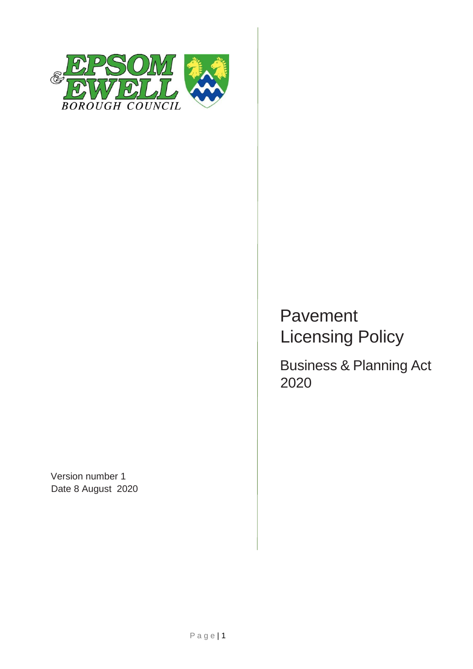

Version number 1 Date 8 August 2020

# Pavement Licensing Policy

Business & Planning Act 2020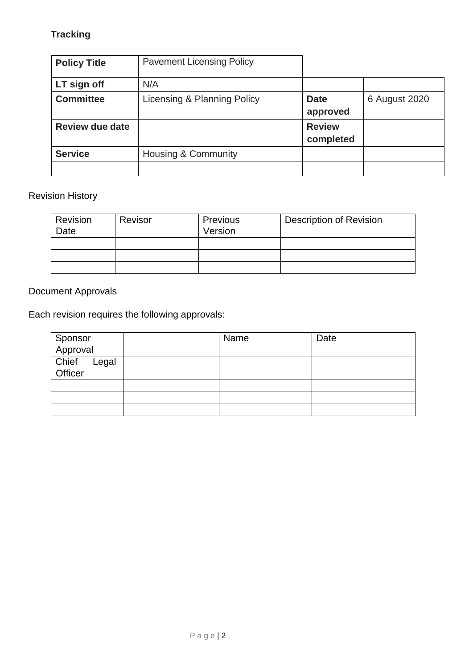# **Tracking**

| <b>Policy Title</b>    | <b>Pavement Licensing Policy</b> |                            |               |
|------------------------|----------------------------------|----------------------------|---------------|
| LT sign off            | N/A                              |                            |               |
| <b>Committee</b>       | Licensing & Planning Policy      | <b>Date</b><br>approved    | 6 August 2020 |
| <b>Review due date</b> |                                  | <b>Review</b><br>completed |               |
| <b>Service</b>         | <b>Housing &amp; Community</b>   |                            |               |
|                        |                                  |                            |               |

# Revision History

| Revision<br>Date | Revisor | Previous<br>Version | <b>Description of Revision</b> |
|------------------|---------|---------------------|--------------------------------|
|                  |         |                     |                                |
|                  |         |                     |                                |
|                  |         |                     |                                |

# Document Approvals

Each revision requires the following approvals:

|                           | Name | Date |
|---------------------------|------|------|
| Sponsor<br>Approval       |      |      |
| Chief<br>Legal<br>Officer |      |      |
|                           |      |      |
|                           |      |      |
|                           |      |      |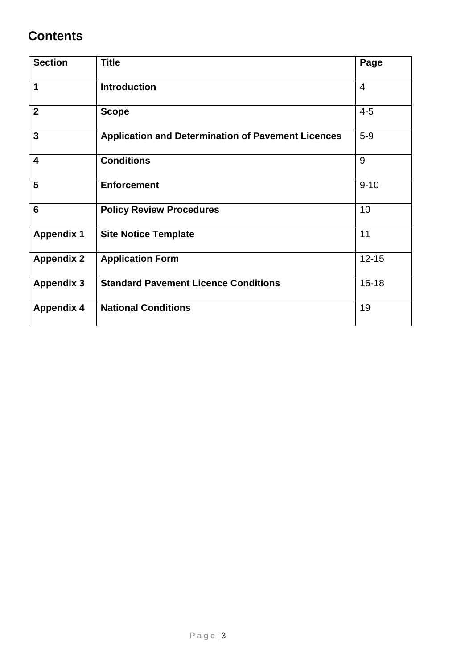# **Contents**

| <b>Section</b>          | <b>Title</b>                                              | Page           |
|-------------------------|-----------------------------------------------------------|----------------|
| 1                       | <b>Introduction</b>                                       | $\overline{4}$ |
| $\overline{2}$          | <b>Scope</b>                                              | $4 - 5$        |
| $\overline{3}$          | <b>Application and Determination of Pavement Licences</b> | $5-9$          |
| $\overline{\mathbf{4}}$ | <b>Conditions</b>                                         | 9              |
| 5                       | <b>Enforcement</b>                                        | $9 - 10$       |
| $6\phantom{1}6$         | <b>Policy Review Procedures</b>                           | 10             |
| <b>Appendix 1</b>       | <b>Site Notice Template</b>                               | 11             |
| <b>Appendix 2</b>       | <b>Application Form</b>                                   | $12 - 15$      |
| <b>Appendix 3</b>       | <b>Standard Pavement Licence Conditions</b>               | $16 - 18$      |
| <b>Appendix 4</b>       | <b>National Conditions</b>                                | 19             |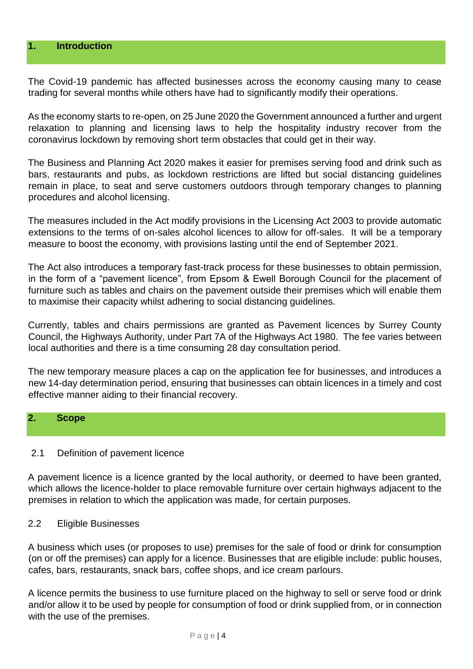#### **1. Introduction**

The Covid-19 pandemic has affected businesses across the economy causing many to cease trading for several months while others have had to significantly modify their operations.

As the economy starts to re-open, on 25 June 2020 the Government announced a further and urgent relaxation to planning and licensing laws to help the hospitality industry recover from the coronavirus lockdown by removing short term obstacles that could get in their way.

The Business and Planning Act 2020 makes it easier for premises serving food and drink such as bars, restaurants and pubs, as lockdown restrictions are lifted but social distancing guidelines remain in place, to seat and serve customers outdoors through temporary changes to planning procedures and alcohol licensing.

The measures included in the Act modify provisions in the Licensing Act 2003 to provide automatic extensions to the terms of on-sales alcohol licences to allow for off-sales. It will be a temporary measure to boost the economy, with provisions lasting until the end of September 2021.

The Act also introduces a temporary fast-track process for these businesses to obtain permission, in the form of a "pavement licence", from Epsom & Ewell Borough Council for the placement of furniture such as tables and chairs on the pavement outside their premises which will enable them to maximise their capacity whilst adhering to social distancing guidelines.

Currently, tables and chairs permissions are granted as Pavement licences by Surrey County Council, the Highways Authority, under Part 7A of the Highways Act 1980. The fee varies between local authorities and there is a time consuming 28 day consultation period.

The new temporary measure places a cap on the application fee for businesses, and introduces a new 14-day determination period, ensuring that businesses can obtain licences in a timely and cost effective manner aiding to their financial recovery.

#### **2. Scope**

#### 2.1 Definition of pavement licence

A pavement licence is a licence granted by the local authority, or deemed to have been granted, which allows the licence-holder to place removable furniture over certain highways adjacent to the premises in relation to which the application was made, for certain purposes.

#### 2.2 Eligible Businesses

A business which uses (or proposes to use) premises for the sale of food or drink for consumption (on or off the premises) can apply for a licence. Businesses that are eligible include: public houses, cafes, bars, restaurants, snack bars, coffee shops, and ice cream parlours.

A licence permits the business to use furniture placed on the highway to sell or serve food or drink and/or allow it to be used by people for consumption of food or drink supplied from, or in connection with the use of the premises.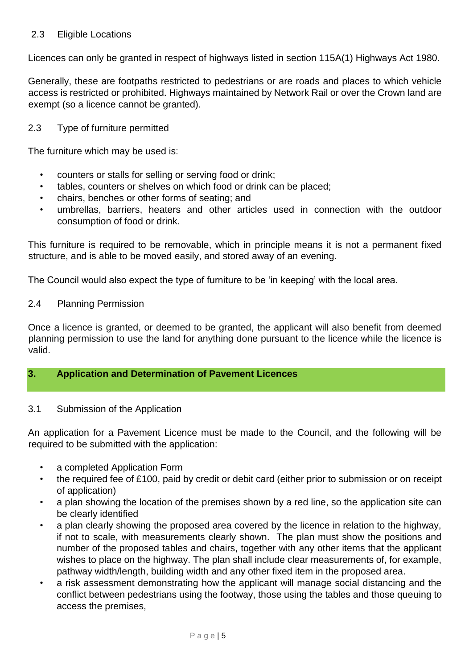#### 2.3 Eligible Locations

Licences can only be granted in respect of highways listed in section 115A(1) Highways Act 1980.

Generally, these are footpaths restricted to pedestrians or are roads and places to which vehicle access is restricted or prohibited. Highways maintained by Network Rail or over the Crown land are exempt (so a licence cannot be granted).

#### 2.3 Type of furniture permitted

The furniture which may be used is:

- counters or stalls for selling or serving food or drink;
- tables, counters or shelves on which food or drink can be placed;
- chairs, benches or other forms of seating; and
- umbrellas, barriers, heaters and other articles used in connection with the outdoor consumption of food or drink.

This furniture is required to be removable, which in principle means it is not a permanent fixed structure, and is able to be moved easily, and stored away of an evening.

The Council would also expect the type of furniture to be 'in keeping' with the local area.

#### 2.4 Planning Permission

Once a licence is granted, or deemed to be granted, the applicant will also benefit from deemed planning permission to use the land for anything done pursuant to the licence while the licence is valid.

#### **3. Application and Determination of Pavement Licences**

#### 3.1 Submission of the Application

An application for a Pavement Licence must be made to the Council, and the following will be required to be submitted with the application:

- a completed Application Form
- the required fee of £100, paid by credit or debit card (either prior to submission or on receipt of application)
- a plan showing the location of the premises shown by a red line, so the application site can be clearly identified
- a plan clearly showing the proposed area covered by the licence in relation to the highway, if not to scale, with measurements clearly shown. The plan must show the positions and number of the proposed tables and chairs, together with any other items that the applicant wishes to place on the highway. The plan shall include clear measurements of, for example, pathway width/length, building width and any other fixed item in the proposed area.
- a risk assessment demonstrating how the applicant will manage social distancing and the conflict between pedestrians using the footway, those using the tables and those queuing to access the premises,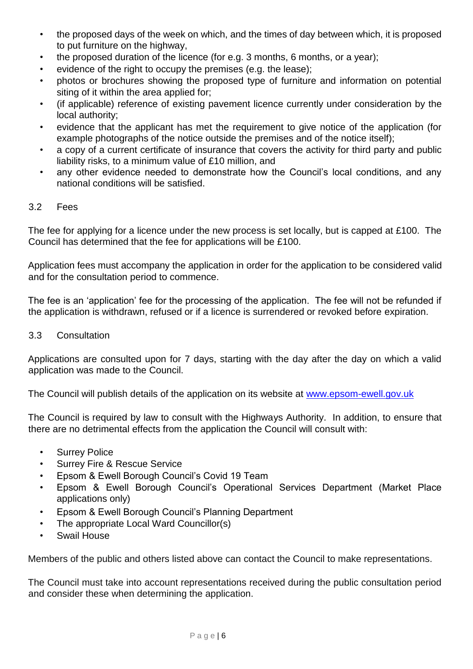- the proposed days of the week on which, and the times of day between which, it is proposed to put furniture on the highway,
- the proposed duration of the licence (for e.g. 3 months, 6 months, or a year);
- evidence of the right to occupy the premises (e.g. the lease);
- photos or brochures showing the proposed type of furniture and information on potential siting of it within the area applied for;
- (if applicable) reference of existing pavement licence currently under consideration by the local authority;
- evidence that the applicant has met the requirement to give notice of the application (for example photographs of the notice outside the premises and of the notice itself);
- a copy of a current certificate of insurance that covers the activity for third party and public liability risks, to a minimum value of £10 million, and
- any other evidence needed to demonstrate how the Council's local conditions, and any national conditions will be satisfied.

#### 3.2 Fees

The fee for applying for a licence under the new process is set locally, but is capped at £100. The Council has determined that the fee for applications will be £100.

Application fees must accompany the application in order for the application to be considered valid and for the consultation period to commence.

The fee is an 'application' fee for the processing of the application. The fee will not be refunded if the application is withdrawn, refused or if a licence is surrendered or revoked before expiration.

3.3 Consultation

Applications are consulted upon for 7 days, starting with the day after the day on which a valid application was made to the Council.

The Council will publish details of the application on its website at [www.epsom-ewell.gov.uk](http://www.epsom-ewell.gov.uk/)

The Council is required by law to consult with the Highways Authority. In addition, to ensure that there are no detrimental effects from the application the Council will consult with:

- Surrey Police
- Surrey Fire & Rescue Service
- Epsom & Ewell Borough Council's Covid 19 Team
- Epsom & Ewell Borough Council's Operational Services Department (Market Place applications only)
- Epsom & Ewell Borough Council's Planning Department
- The appropriate Local Ward Councillor(s)
- Swail House

Members of the public and others listed above can contact the Council to make representations.

The Council must take into account representations received during the public consultation period and consider these when determining the application.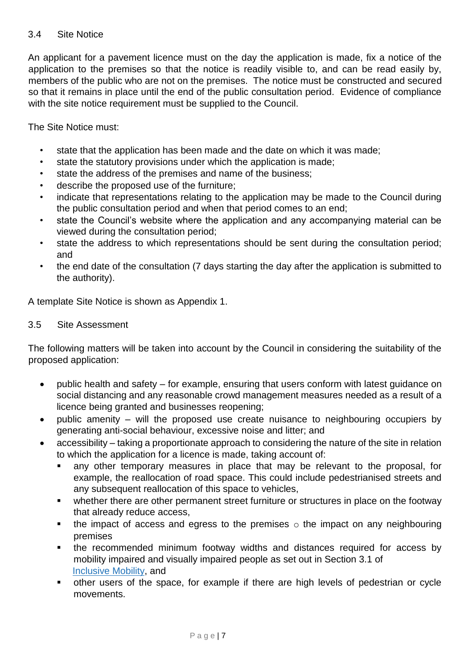#### 3.4 Site Notice

An applicant for a pavement licence must on the day the application is made, fix a notice of the application to the premises so that the notice is readily visible to, and can be read easily by, members of the public who are not on the premises. The notice must be constructed and secured so that it remains in place until the end of the public consultation period. Evidence of compliance with the site notice requirement must be supplied to the Council.

The Site Notice must:

- state that the application has been made and the date on which it was made;
- state the statutory provisions under which the application is made;
- state the address of the premises and name of the business;
- describe the proposed use of the furniture;
- indicate that representations relating to the application may be made to the Council during the public consultation period and when that period comes to an end;
- state the Council's website where the application and any accompanying material can be viewed during the consultation period;
- state the address to which representations should be sent during the consultation period; and
- the end date of the consultation (7 days starting the day after the application is submitted to the authority).

A template Site Notice is shown as Appendix 1.

#### 3.5 Site Assessment

The following matters will be taken into account by the Council in considering the suitability of the proposed application:

- public health and safety for example, ensuring that users conform with latest guidance on social distancing and any reasonable crowd management measures needed as a result of a licence being granted and businesses reopening;
- public amenity will the proposed use create nuisance to neighbouring occupiers by generating anti-social behaviour, excessive noise and litter; and
- accessibility taking a proportionate approach to considering the nature of the site in relation to which the application for a licence is made, taking account of:
	- any other temporary measures in place that may be relevant to the proposal, for example, the reallocation of road space. This could include pedestrianised streets and any subsequent reallocation of this space to vehicles,
	- whether there are other permanent street furniture or structures in place on the footway that already reduce access,
	- **the impact of access and egress to the premises**  $\circ$  the impact on any neighbouring premises
	- the recommended minimum footway widths and distances required for access by mobility impaired and visually impaired people as set out in Section 3.1 of [Inclusive](https://www.gov.uk/government/publications/inclusive-mobility) [Mobility,](https://www.gov.uk/government/publications/inclusive-mobility) and
	- other users of the space, for example if there are high levels of pedestrian or cycle movements.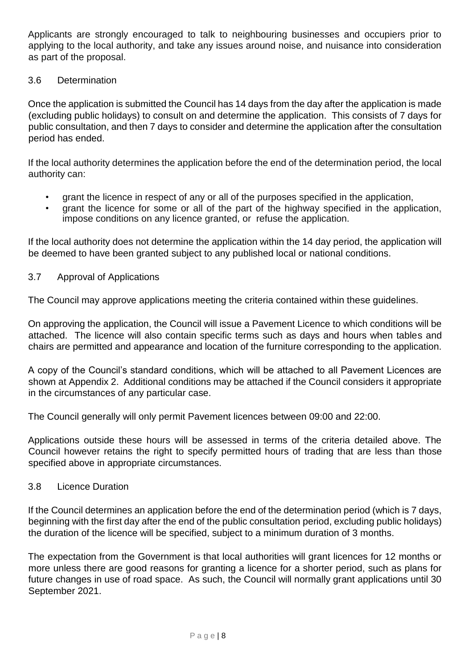Applicants are strongly encouraged to talk to neighbouring businesses and occupiers prior to applying to the local authority, and take any issues around noise, and nuisance into consideration as part of the proposal.

#### 3.6 Determination

Once the application is submitted the Council has 14 days from the day after the application is made (excluding public holidays) to consult on and determine the application. This consists of 7 days for public consultation, and then 7 days to consider and determine the application after the consultation period has ended.

If the local authority determines the application before the end of the determination period, the local authority can:

- grant the licence in respect of any or all of the purposes specified in the application,
- grant the licence for some or all of the part of the highway specified in the application, impose conditions on any licence granted, or refuse the application.

If the local authority does not determine the application within the 14 day period, the application will be deemed to have been granted subject to any published local or national conditions.

#### 3.7 Approval of Applications

The Council may approve applications meeting the criteria contained within these guidelines.

On approving the application, the Council will issue a Pavement Licence to which conditions will be attached. The licence will also contain specific terms such as days and hours when tables and chairs are permitted and appearance and location of the furniture corresponding to the application.

A copy of the Council's standard conditions, which will be attached to all Pavement Licences are shown at Appendix 2. Additional conditions may be attached if the Council considers it appropriate in the circumstances of any particular case.

The Council generally will only permit Pavement licences between 09:00 and 22:00.

Applications outside these hours will be assessed in terms of the criteria detailed above. The Council however retains the right to specify permitted hours of trading that are less than those specified above in appropriate circumstances.

#### 3.8 Licence Duration

If the Council determines an application before the end of the determination period (which is 7 days, beginning with the first day after the end of the public consultation period, excluding public holidays) the duration of the licence will be specified, subject to a minimum duration of 3 months.

The expectation from the Government is that local authorities will grant licences for 12 months or more unless there are good reasons for granting a licence for a shorter period, such as plans for future changes in use of road space. As such, the Council will normally grant applications until 30 September 2021.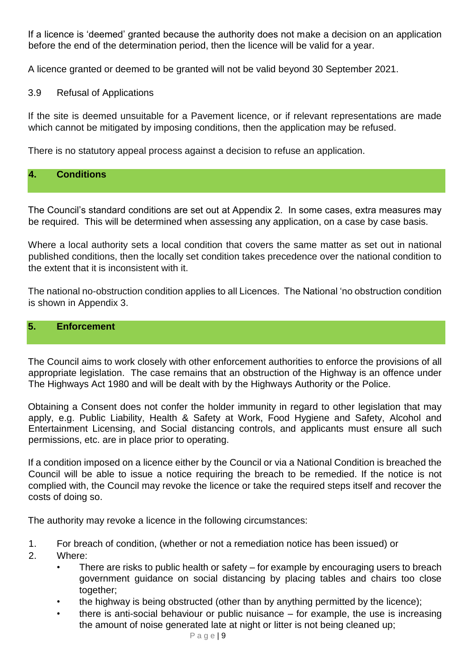If a licence is 'deemed' granted because the authority does not make a decision on an application before the end of the determination period, then the licence will be valid for a year.

A licence granted or deemed to be granted will not be valid beyond 30 September 2021.

3.9 Refusal of Applications

If the site is deemed unsuitable for a Pavement licence, or if relevant representations are made which cannot be mitigated by imposing conditions, then the application may be refused.

There is no statutory appeal process against a decision to refuse an application.

### **4. Conditions**

The Council's standard conditions are set out at Appendix 2. In some cases, extra measures may be required. This will be determined when assessing any application, on a case by case basis.

Where a local authority sets a local condition that covers the same matter as set out in national published conditions, then the locally set condition takes precedence over the national condition to the extent that it is inconsistent with it.

The national no-obstruction condition applies to all Licences. The National 'no obstruction condition is shown in Appendix 3.

## **5. Enforcement**

The Council aims to work closely with other enforcement authorities to enforce the provisions of all appropriate legislation. The case remains that an obstruction of the Highway is an offence under The Highways Act 1980 and will be dealt with by the Highways Authority or the Police.

Obtaining a Consent does not confer the holder immunity in regard to other legislation that may apply, e.g. Public Liability, Health & Safety at Work, Food Hygiene and Safety, Alcohol and Entertainment Licensing, and Social distancing controls, and applicants must ensure all such permissions, etc. are in place prior to operating.

If a condition imposed on a licence either by the Council or via a National Condition is breached the Council will be able to issue a notice requiring the breach to be remedied. If the notice is not complied with, the Council may revoke the licence or take the required steps itself and recover the costs of doing so.

The authority may revoke a licence in the following circumstances:

- 1. For breach of condition, (whether or not a remediation notice has been issued) or
- 2. Where:
	- There are risks to public health or safety for example by encouraging users to breach government guidance on social distancing by placing tables and chairs too close together;
	- the highway is being obstructed (other than by anything permitted by the licence);
	- there is anti-social behaviour or public nuisance  $-$  for example, the use is increasing the amount of noise generated late at night or litter is not being cleaned up;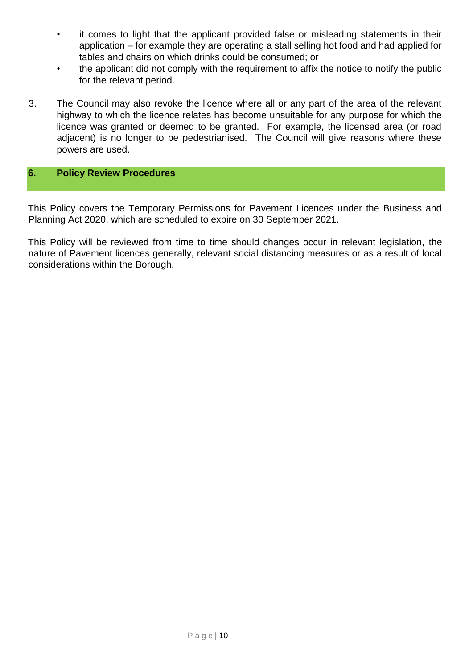- it comes to light that the applicant provided false or misleading statements in their application – for example they are operating a stall selling hot food and had applied for tables and chairs on which drinks could be consumed; or
- the applicant did not comply with the requirement to affix the notice to notify the public for the relevant period.
- 3. The Council may also revoke the licence where all or any part of the area of the relevant highway to which the licence relates has become unsuitable for any purpose for which the licence was granted or deemed to be granted. For example, the licensed area (or road adjacent) is no longer to be pedestrianised. The Council will give reasons where these powers are used.

#### **6. Policy Review Procedures**

This Policy covers the Temporary Permissions for Pavement Licences under the Business and Planning Act 2020, which are scheduled to expire on 30 September 2021.

This Policy will be reviewed from time to time should changes occur in relevant legislation, the nature of Pavement licences generally, relevant social distancing measures or as a result of local considerations within the Borough.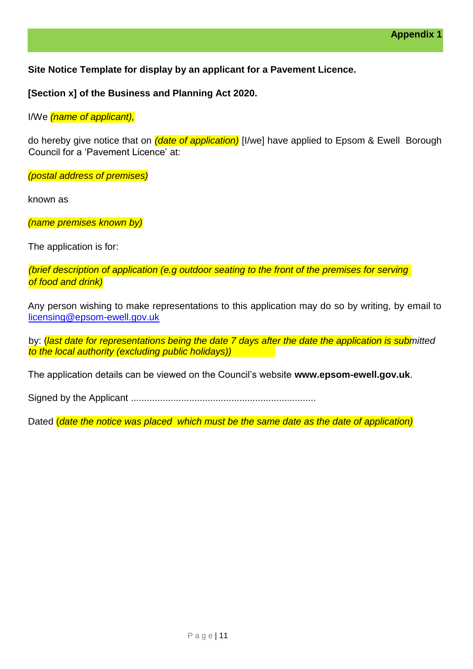**Site Notice Template for display by an applicant for a Pavement Licence.** 

**[Section x] of the Business and Planning Act 2020.**

I/We *(name of applicant),*

do hereby give notice that on *(date of application)* [I/we] have applied to Epsom & Ewell Borough Council for a 'Pavement Licence' at:

*(postal address of premises)*

known as

*(name premises known by)*

The application is for:

*(brief description of application (e.g outdoor seating to the front of the premises for serving of food and drink)*

Any person wishing to make representations to this application may do so by writing, by email to licensing@epsom-ewell.gov.uk

by: (*last date for representations being the date 7 days after the date the application is submitted to the local authority (excluding public holidays))*

The application details can be viewed on the Council's website **[www.epsom-ewell.gov.uk](http://www.epsom-ewell.gov.uk/)**[.](http://www.epsom-ewell.gov.uk/)

Signed by the Applicant ......................................................................

Dated (*date the notice was placed which must be the same date as the date of application)*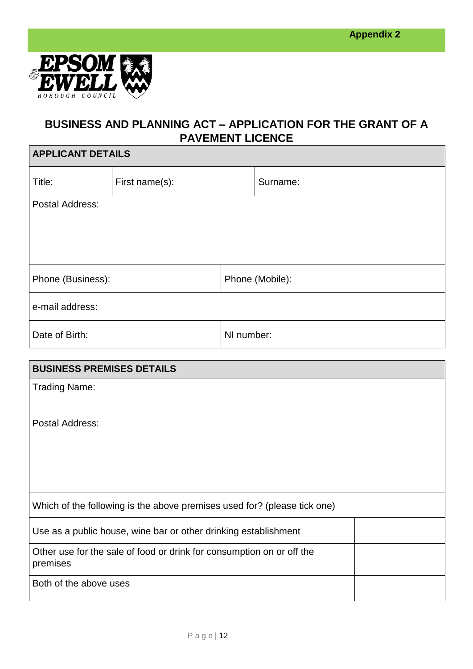

# **BUSINESS AND PLANNING ACT – APPLICATION FOR THE GRANT OF A PAVEMENT LICENCE**

| <b>APPLICANT DETAILS</b> |                |                 |          |
|--------------------------|----------------|-----------------|----------|
| Title:                   | First name(s): |                 | Surname: |
| Postal Address:          |                |                 |          |
|                          |                |                 |          |
|                          |                |                 |          |
|                          |                |                 |          |
| Phone (Business):        |                | Phone (Mobile): |          |
| e-mail address:          |                |                 |          |
| Date of Birth:           |                | NI number:      |          |

| <b>BUSINESS PREMISES DETAILS</b>                                                  |  |
|-----------------------------------------------------------------------------------|--|
| <b>Trading Name:</b>                                                              |  |
| Postal Address:                                                                   |  |
| Which of the following is the above premises used for? (please tick one)          |  |
| Use as a public house, wine bar or other drinking establishment                   |  |
| Other use for the sale of food or drink for consumption on or off the<br>premises |  |
| Both of the above uses                                                            |  |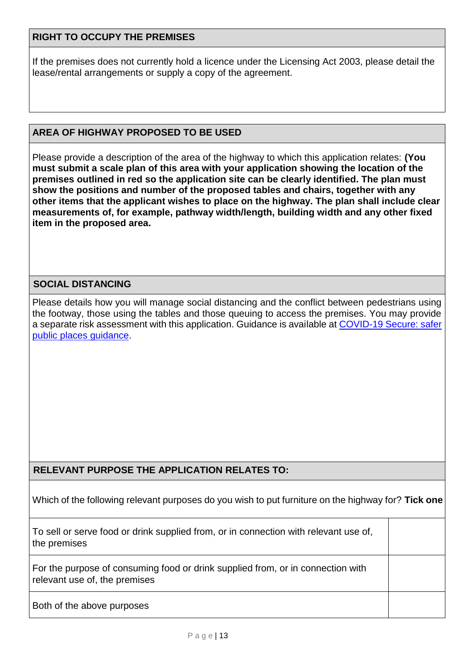#### **RIGHT TO OCCUPY THE PREMISES**

If the premises does not currently hold a licence under the Licensing Act 2003, please detail the lease/rental arrangements or supply a copy of the agreement.

#### **AREA OF HIGHWAY PROPOSED TO BE USED**

Please provide a description of the area of the highway to which this application relates: **(You must submit a scale plan of this area with your application showing the location of the premises outlined in red so the application site can be clearly identified. The plan must show the positions and number of the proposed tables and chairs, together with any other items that the applicant wishes to place on the highway. The plan shall include clear measurements of, for example, pathway width/length, building width and any other fixed item in the proposed area.** 

#### **SOCIAL DISTANCING**

Please details how you will manage social distancing and the conflict between pedestrians using the footway, those using the tables and those queuing to access the premises. You may provide a separate risk assessment with this application. Guidance is available at [COVID-19 Secure: safer](https://www.gov.uk/guidance/safer-public-places-urban-centres-and-green-spaces-covid-19)  [public places guidance.](https://www.gov.uk/guidance/safer-public-places-urban-centres-and-green-spaces-covid-19)

#### **RELEVANT PURPOSE THE APPLICATION RELATES TO:**

Which of the following relevant purposes do you wish to put furniture on the highway for? **Tick one**

To sell or serve food or drink supplied from, or in connection with relevant use of, the premises

For the purpose of consuming food or drink supplied from, or in connection with relevant use of, the premises

Both of the above purposes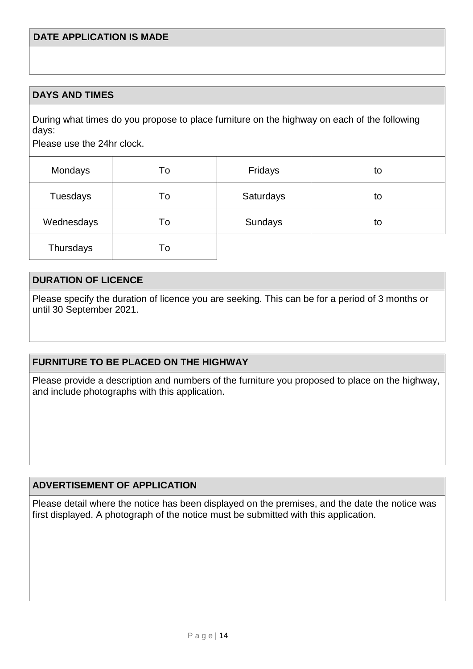#### **DAYS AND TIMES**

During what times do you propose to place furniture on the highway on each of the following days:

Please use the 24hr clock.

| Mondays    | To | Fridays   | to |
|------------|----|-----------|----|
| Tuesdays   | To | Saturdays | to |
| Wednesdays | To | Sundays   | to |
| Thursdays  | To |           |    |

#### **DURATION OF LICENCE**

Please specify the duration of licence you are seeking. This can be for a period of 3 months or until 30 September 2021.

#### **FURNITURE TO BE PLACED ON THE HIGHWAY**

Please provide a description and numbers of the furniture you proposed to place on the highway, and include photographs with this application.

#### **ADVERTISEMENT OF APPLICATION**

Please detail where the notice has been displayed on the premises, and the date the notice was first displayed. A photograph of the notice must be submitted with this application.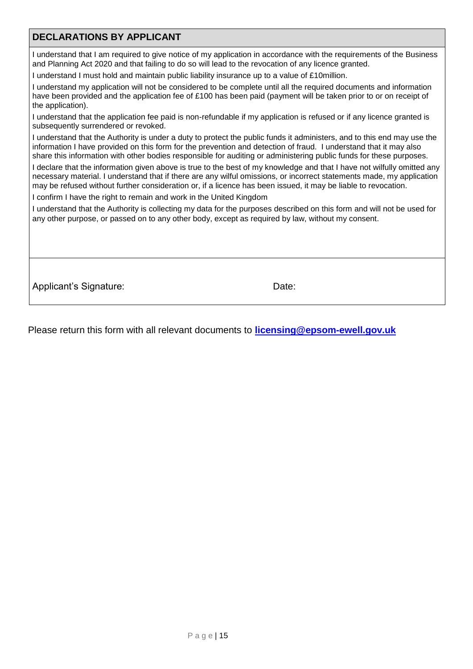#### **DECLARATIONS BY APPLICANT**

I understand that I am required to give notice of my application in accordance with the requirements of the Business and Planning Act 2020 and that failing to do so will lead to the revocation of any licence granted.

I understand I must hold and maintain public liability insurance up to a value of £10million.

I understand my application will not be considered to be complete until all the required documents and information have been provided and the application fee of £100 has been paid (payment will be taken prior to or on receipt of the application).

I understand that the application fee paid is non-refundable if my application is refused or if any licence granted is subsequently surrendered or revoked.

I understand that the Authority is under a duty to protect the public funds it administers, and to this end may use the information I have provided on this form for the prevention and detection of fraud. I understand that it may also share this information with other bodies responsible for auditing or administering public funds for these purposes.

I declare that the information given above is true to the best of my knowledge and that I have not wilfully omitted any necessary material. I understand that if there are any wilful omissions, or incorrect statements made, my application may be refused without further consideration or, if a licence has been issued, it may be liable to revocation.

I confirm I have the right to remain and work in the United Kingdom

I understand that the Authority is collecting my data for the purposes described on this form and will not be used for any other purpose, or passed on to any other body, except as required by law, without my consent.

Applicant's Signature: Date: Date:

Please return this form with all relevant documents to **licensing@epsom-ewell.gov.uk**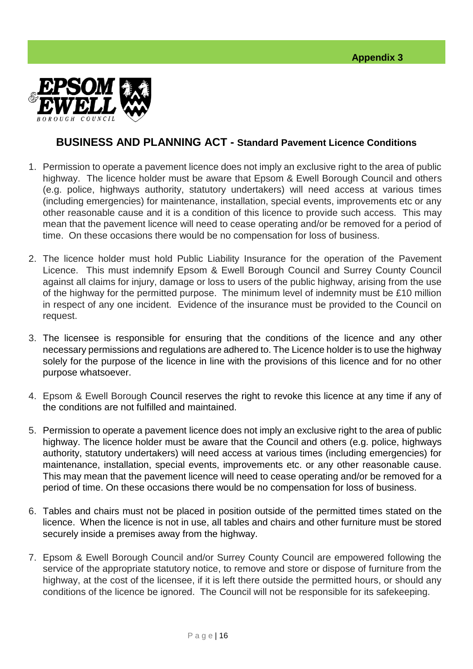

## **BUSINESS AND PLANNING ACT - Standard Pavement Licence Conditions**

- 1. Permission to operate a pavement licence does not imply an exclusive right to the area of public highway. The licence holder must be aware that Epsom & Ewell Borough Council and others (e.g. police, highways authority, statutory undertakers) will need access at various times (including emergencies) for maintenance, installation, special events, improvements etc or any other reasonable cause and it is a condition of this licence to provide such access. This may mean that the pavement licence will need to cease operating and/or be removed for a period of time. On these occasions there would be no compensation for loss of business.
- 2. The licence holder must hold Public Liability Insurance for the operation of the Pavement Licence. This must indemnify Epsom & Ewell Borough Council and Surrey County Council against all claims for injury, damage or loss to users of the public highway, arising from the use of the highway for the permitted purpose. The minimum level of indemnity must be £10 million in respect of any one incident. Evidence of the insurance must be provided to the Council on request.
- 3. The licensee is responsible for ensuring that the conditions of the licence and any other necessary permissions and regulations are adhered to. The Licence holder is to use the highway solely for the purpose of the licence in line with the provisions of this licence and for no other purpose whatsoever.
- 4. Epsom & Ewell Borough Council reserves the right to revoke this licence at any time if any of the conditions are not fulfilled and maintained.
- 5. Permission to operate a pavement licence does not imply an exclusive right to the area of public highway. The licence holder must be aware that the Council and others (e.g. police, highways authority, statutory undertakers) will need access at various times (including emergencies) for maintenance, installation, special events, improvements etc. or any other reasonable cause. This may mean that the pavement licence will need to cease operating and/or be removed for a period of time. On these occasions there would be no compensation for loss of business.
- 6. Tables and chairs must not be placed in position outside of the permitted times stated on the licence. When the licence is not in use, all tables and chairs and other furniture must be stored securely inside a premises away from the highway.
- 7. Epsom & Ewell Borough Council and/or Surrey County Council are empowered following the service of the appropriate statutory notice, to remove and store or dispose of furniture from the highway, at the cost of the licensee, if it is left there outside the permitted hours, or should any conditions of the licence be ignored. The Council will not be responsible for its safekeeping.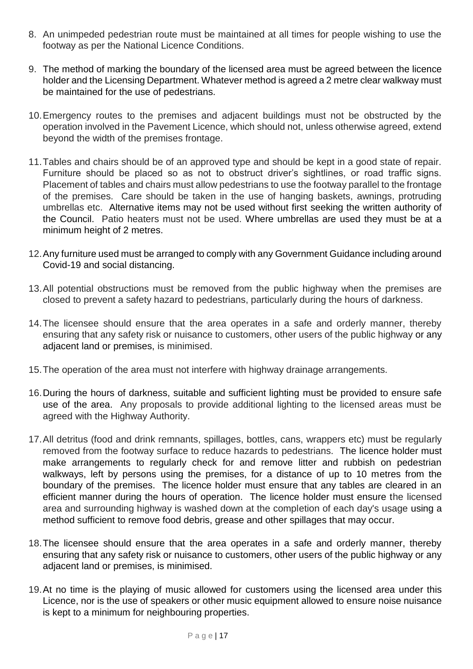- 8. An unimpeded pedestrian route must be maintained at all times for people wishing to use the footway as per the National Licence Conditions.
- 9. The method of marking the boundary of the licensed area must be agreed between the licence holder and the Licensing Department. Whatever method is agreed a 2 metre clear walkway must be maintained for the use of pedestrians.
- 10.Emergency routes to the premises and adjacent buildings must not be obstructed by the operation involved in the Pavement Licence, which should not, unless otherwise agreed, extend beyond the width of the premises frontage.
- 11.Tables and chairs should be of an approved type and should be kept in a good state of repair. Furniture should be placed so as not to obstruct driver's sightlines, or road traffic signs. Placement of tables and chairs must allow pedestrians to use the footway parallel to the frontage of the premises. Care should be taken in the use of hanging baskets, awnings, protruding umbrellas etc. Alternative items may not be used without first seeking the written authority of the Council. Patio heaters must not be used. Where umbrellas are used they must be at a minimum height of 2 metres.
- 12.Any furniture used must be arranged to comply with any Government Guidance including around Covid-19 and social distancing.
- 13.All potential obstructions must be removed from the public highway when the premises are closed to prevent a safety hazard to pedestrians, particularly during the hours of darkness.
- 14.The licensee should ensure that the area operates in a safe and orderly manner, thereby ensuring that any safety risk or nuisance to customers, other users of the public highway or any adjacent land or premises, is minimised.
- 15.The operation of the area must not interfere with highway drainage arrangements.
- 16.During the hours of darkness, suitable and sufficient lighting must be provided to ensure safe use of the area. Any proposals to provide additional lighting to the licensed areas must be agreed with the Highway Authority.
- 17.All detritus (food and drink remnants, spillages, bottles, cans, wrappers etc) must be regularly removed from the footway surface to reduce hazards to pedestrians. The licence holder must make arrangements to regularly check for and remove litter and rubbish on pedestrian walkways, left by persons using the premises, for a distance of up to 10 metres from the boundary of the premises. The licence holder must ensure that any tables are cleared in an efficient manner during the hours of operation. The licence holder must ensure the licensed area and surrounding highway is washed down at the completion of each day's usage using a method sufficient to remove food debris, grease and other spillages that may occur.
- 18.The licensee should ensure that the area operates in a safe and orderly manner, thereby ensuring that any safety risk or nuisance to customers, other users of the public highway or any adjacent land or premises, is minimised.
- 19.At no time is the playing of music allowed for customers using the licensed area under this Licence, nor is the use of speakers or other music equipment allowed to ensure noise nuisance is kept to a minimum for neighbouring properties.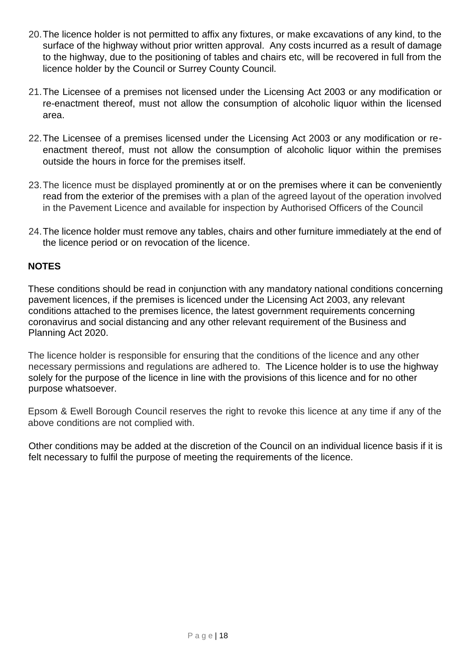- 20.The licence holder is not permitted to affix any fixtures, or make excavations of any kind, to the surface of the highway without prior written approval. Any costs incurred as a result of damage to the highway, due to the positioning of tables and chairs etc, will be recovered in full from the licence holder by the Council or Surrey County Council.
- 21.The Licensee of a premises not licensed under the Licensing Act 2003 or any modification or re-enactment thereof, must not allow the consumption of alcoholic liquor within the licensed area.
- 22.The Licensee of a premises licensed under the Licensing Act 2003 or any modification or reenactment thereof, must not allow the consumption of alcoholic liquor within the premises outside the hours in force for the premises itself.
- 23.The licence must be displayed prominently at or on the premises where it can be conveniently read from the exterior of the premises with a plan of the agreed layout of the operation involved in the Pavement Licence and available for inspection by Authorised Officers of the Council
- 24.The licence holder must remove any tables, chairs and other furniture immediately at the end of the licence period or on revocation of the licence.

#### **NOTES**

These conditions should be read in conjunction with any mandatory national conditions concerning pavement licences, if the premises is licenced under the Licensing Act 2003, any relevant conditions attached to the premises licence, the latest government requirements concerning coronavirus and social distancing and any other relevant requirement of the Business and Planning Act 2020.

The licence holder is responsible for ensuring that the conditions of the licence and any other necessary permissions and regulations are adhered to. The Licence holder is to use the highway solely for the purpose of the licence in line with the provisions of this licence and for no other purpose whatsoever.

Epsom & Ewell Borough Council reserves the right to revoke this licence at any time if any of the above conditions are not complied with.

Other conditions may be added at the discretion of the Council on an individual licence basis if it is felt necessary to fulfil the purpose of meeting the requirements of the licence.